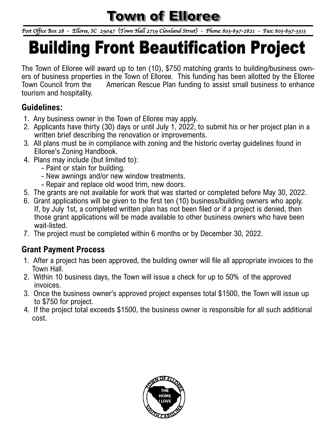### **Town of Elloree**

*Post Office Box 28 - Elloree, SC 29047 (Town Hall 2719 Cleveland Street) - Phone: 803-897-2821 - Fax: 803-897-3315* 

# **Building Front Beautification Project**

The Town of Elloree will award up to ten (10), \$750 matching grants to building/business owners of business properties in the Town of Elloree. This funding has been allotted by the Elloree Town Council from the American Rescue Plan funding to assist small business to enhance tourism and hospitality.

#### **Guidelines:**

- 1. Any business owner in the Town of Elloree may apply.
- 2. Applicants have thirty (30) days or until July 1, 2022, to submit his or her project plan in a written brief describing the renovation or improvements.
- 3. All plans must be in compliance with zoning and the historic overlay guidelines found in Elloree's Zoning Handbook.
- 4. Plans may include (but limited to):
	- Paint or stain for building.
	- New awnings and/or new window treatments.
	- Repair and replace old wood trim, new doors.
- 5. The grants are not available for work that was started or completed before May 30, 2022.
- 6. Grant applications will be given to the first ten (10) business/building owners who apply. If, by July 1st, a completed written plan has not been filed or if a project is denied, then those grant applications will be made available to other business owners who have been wait-listed.
- 7. The project must be completed within 6 months or by December 30, 2022.

#### **Grant Payment Process**

- 1. After a project has been approved, the building owner will file all appropriate invoices to the Town Hall.
- 2. Within 10 business days, the Town will issue a check for up to 50% of the approved invoices.
- 3. Once the business owner's approved project expenses total \$1500, the Town will issue up to \$750 for project.
- 4. If the project total exceeds \$1500, the business owner is responsible for all such additional cost.